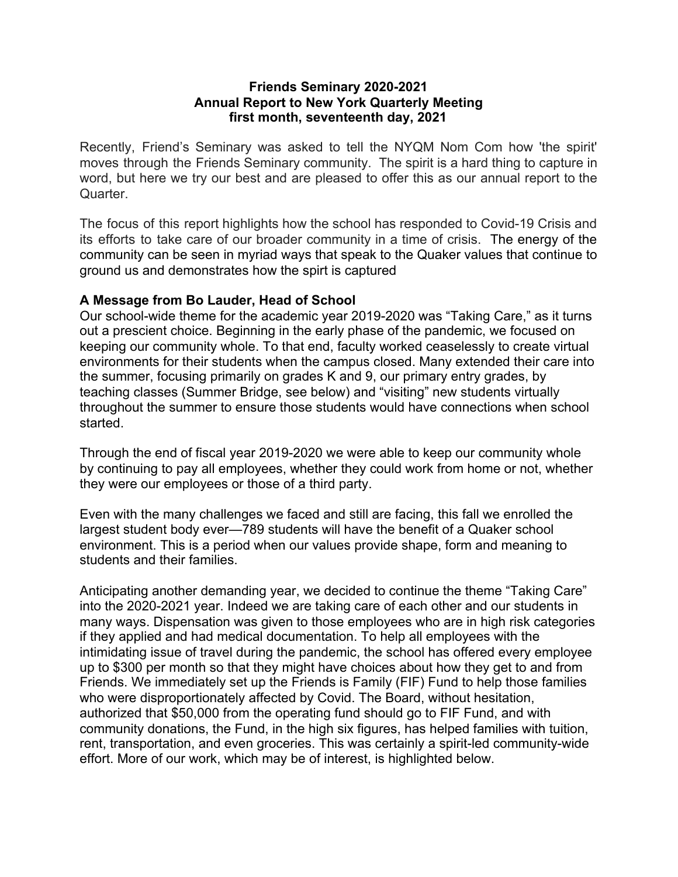#### **Friends Seminary 2020-2021 Annual Report to New York Quarterly Meeting first month, seventeenth day, 2021**

Recently, Friend's Seminary was asked to tell the NYQM Nom Com how 'the spirit' moves through the Friends Seminary community. The spirit is a hard thing to capture in word, but here we try our best and are pleased to offer this as our annual report to the Quarter.

The focus of this report highlights how the school has responded to Covid-19 Crisis and its efforts to take care of our broader community in a time of crisis. The energy of the community can be seen in myriad ways that speak to the Quaker values that continue to ground us and demonstrates how the spirt is captured

### **A Message from Bo Lauder, Head of School**

Our school-wide theme for the academic year 2019-2020 was "Taking Care," as it turns out a prescient choice. Beginning in the early phase of the pandemic, we focused on keeping our community whole. To that end, faculty worked ceaselessly to create virtual environments for their students when the campus closed. Many extended their care into the summer, focusing primarily on grades K and 9, our primary entry grades, by teaching classes (Summer Bridge, see below) and "visiting" new students virtually throughout the summer to ensure those students would have connections when school started.

Through the end of fiscal year 2019-2020 we were able to keep our community whole by continuing to pay all employees, whether they could work from home or not, whether they were our employees or those of a third party.

Even with the many challenges we faced and still are facing, this fall we enrolled the largest student body ever—789 students will have the benefit of a Quaker school environment. This is a period when our values provide shape, form and meaning to students and their families.

Anticipating another demanding year, we decided to continue the theme "Taking Care" into the 2020-2021 year. Indeed we are taking care of each other and our students in many ways. Dispensation was given to those employees who are in high risk categories if they applied and had medical documentation. To help all employees with the intimidating issue of travel during the pandemic, the school has offered every employee up to \$300 per month so that they might have choices about how they get to and from Friends. We immediately set up the Friends is Family (FIF) Fund to help those families who were disproportionately affected by Covid. The Board, without hesitation, authorized that \$50,000 from the operating fund should go to FIF Fund, and with community donations, the Fund, in the high six figures, has helped families with tuition, rent, transportation, and even groceries. This was certainly a spirit-led community-wide effort. More of our work, which may be of interest, is highlighted below.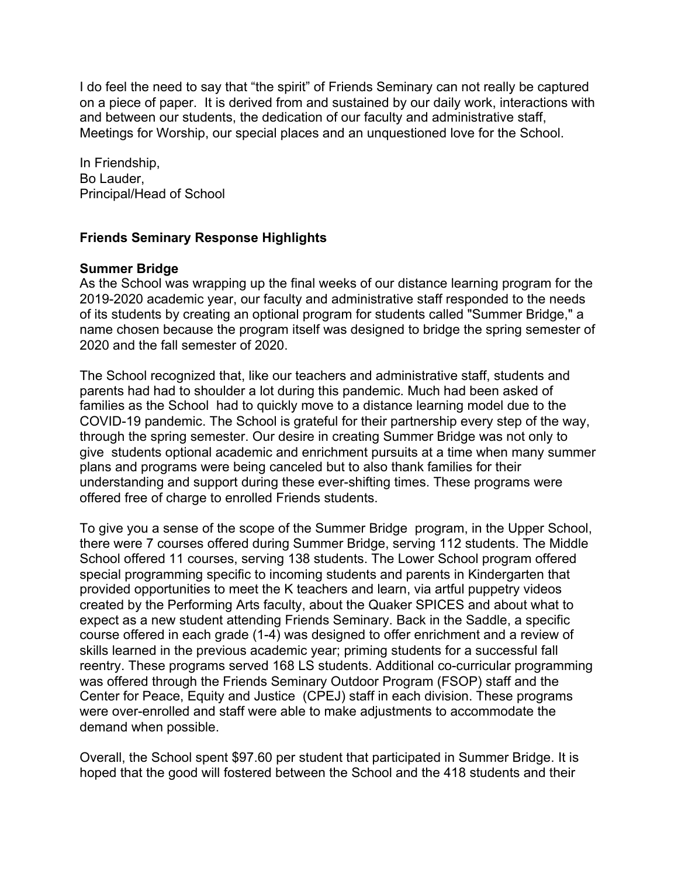I do feel the need to say that "the spirit" of Friends Seminary can not really be captured on a piece of paper. It is derived from and sustained by our daily work, interactions with and between our students, the dedication of our faculty and administrative staff, Meetings for Worship, our special places and an unquestioned love for the School.

In Friendship, Bo Lauder, Principal/Head of School

## **Friends Seminary Response Highlights**

### **Summer Bridge**

As the School was wrapping up the final weeks of our distance learning program for the 2019-2020 academic year, our faculty and administrative staff responded to the needs of its students by creating an optional program for students called "Summer Bridge," a name chosen because the program itself was designed to bridge the spring semester of 2020 and the fall semester of 2020.

The School recognized that, like our teachers and administrative staff, students and parents had had to shoulder a lot during this pandemic. Much had been asked of families as the School had to quickly move to a distance learning model due to the COVID-19 pandemic. The School is grateful for their partnership every step of the way, through the spring semester. Our desire in creating Summer Bridge was not only to give students optional academic and enrichment pursuits at a time when many summer plans and programs were being canceled but to also thank families for their understanding and support during these ever-shifting times. These programs were offered free of charge to enrolled Friends students.

To give you a sense of the scope of the Summer Bridge program, in the Upper School, there were 7 courses offered during Summer Bridge, serving 112 students. The Middle School offered 11 courses, serving 138 students. The Lower School program offered special programming specific to incoming students and parents in Kindergarten that provided opportunities to meet the K teachers and learn, via artful puppetry videos created by the Performing Arts faculty, about the Quaker SPICES and about what to expect as a new student attending Friends Seminary. Back in the Saddle, a specific course offered in each grade (1-4) was designed to offer enrichment and a review of skills learned in the previous academic year; priming students for a successful fall reentry. These programs served 168 LS students. Additional co-curricular programming was offered through the Friends Seminary Outdoor Program (FSOP) staff and the Center for Peace, Equity and Justice (CPEJ) staff in each division. These programs were over-enrolled and staff were able to make adjustments to accommodate the demand when possible.

Overall, the School spent \$97.60 per student that participated in Summer Bridge. It is hoped that the good will fostered between the School and the 418 students and their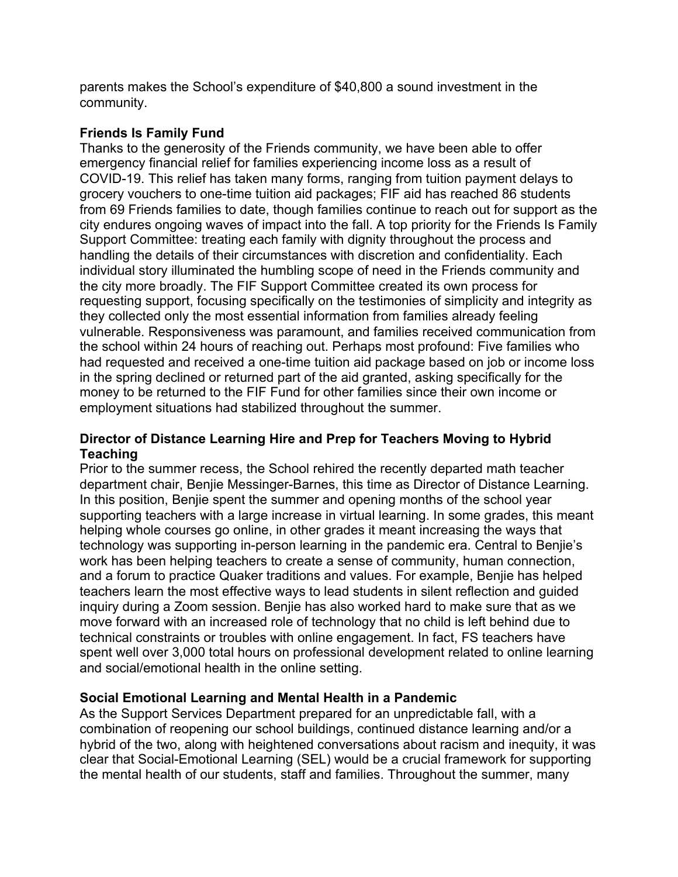parents makes the School's expenditure of \$40,800 a sound investment in the community.

### **Friends Is Family Fund**

Thanks to the generosity of the Friends community, we have been able to offer emergency financial relief for families experiencing income loss as a result of COVID-19. This relief has taken many forms, ranging from tuition payment delays to grocery vouchers to one-time tuition aid packages; FIF aid has reached 86 students from 69 Friends families to date, though families continue to reach out for support as the city endures ongoing waves of impact into the fall. A top priority for the Friends Is Family Support Committee: treating each family with dignity throughout the process and handling the details of their circumstances with discretion and confidentiality. Each individual story illuminated the humbling scope of need in the Friends community and the city more broadly. The FIF Support Committee created its own process for requesting support, focusing specifically on the testimonies of simplicity and integrity as they collected only the most essential information from families already feeling vulnerable. Responsiveness was paramount, and families received communication from the school within 24 hours of reaching out. Perhaps most profound: Five families who had requested and received a one-time tuition aid package based on job or income loss in the spring declined or returned part of the aid granted, asking specifically for the money to be returned to the FIF Fund for other families since their own income or employment situations had stabilized throughout the summer.

### **Director of Distance Learning Hire and Prep for Teachers Moving to Hybrid Teaching**

Prior to the summer recess, the School rehired the recently departed math teacher department chair, Benjie Messinger-Barnes, this time as Director of Distance Learning. In this position, Benjie spent the summer and opening months of the school year supporting teachers with a large increase in virtual learning. In some grades, this meant helping whole courses go online, in other grades it meant increasing the ways that technology was supporting in-person learning in the pandemic era. Central to Benjie's work has been helping teachers to create a sense of community, human connection, and a forum to practice Quaker traditions and values. For example, Benjie has helped teachers learn the most effective ways to lead students in silent reflection and guided inquiry during a Zoom session. Benjie has also worked hard to make sure that as we move forward with an increased role of technology that no child is left behind due to technical constraints or troubles with online engagement. In fact, FS teachers have spent well over 3,000 total hours on professional development related to online learning and social/emotional health in the online setting.

# **Social Emotional Learning and Mental Health in a Pandemic**

As the Support Services Department prepared for an unpredictable fall, with a combination of reopening our school buildings, continued distance learning and/or a hybrid of the two, along with heightened conversations about racism and inequity, it was clear that Social-Emotional Learning (SEL) would be a crucial framework for supporting the mental health of our students, staff and families. Throughout the summer, many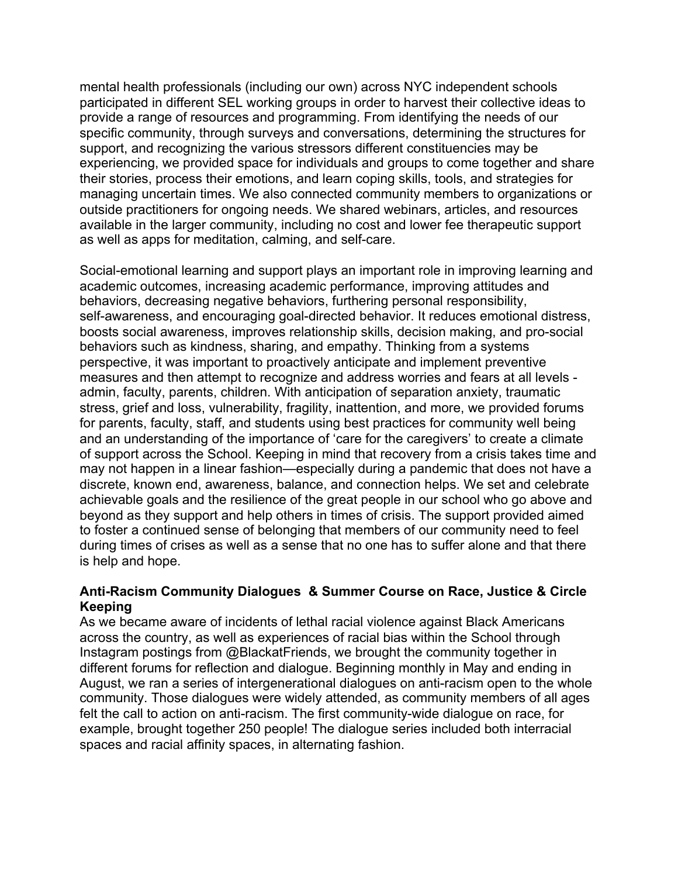mental health professionals (including our own) across NYC independent schools participated in different SEL working groups in order to harvest their collective ideas to provide a range of resources and programming. From identifying the needs of our specific community, through surveys and conversations, determining the structures for support, and recognizing the various stressors different constituencies may be experiencing, we provided space for individuals and groups to come together and share their stories, process their emotions, and learn coping skills, tools, and strategies for managing uncertain times. We also connected community members to organizations or outside practitioners for ongoing needs. We shared webinars, articles, and resources available in the larger community, including no cost and lower fee therapeutic support as well as apps for meditation, calming, and self-care.

Social-emotional learning and support plays an important role in improving learning and academic outcomes, increasing academic performance, improving attitudes and behaviors, decreasing negative behaviors, furthering personal responsibility, self-awareness, and encouraging goal-directed behavior. It reduces emotional distress, boosts social awareness, improves relationship skills, decision making, and pro-social behaviors such as kindness, sharing, and empathy. Thinking from a systems perspective, it was important to proactively anticipate and implement preventive measures and then attempt to recognize and address worries and fears at all levels admin, faculty, parents, children. With anticipation of separation anxiety, traumatic stress, grief and loss, vulnerability, fragility, inattention, and more, we provided forums for parents, faculty, staff, and students using best practices for community well being and an understanding of the importance of 'care for the caregivers' to create a climate of support across the School. Keeping in mind that recovery from a crisis takes time and may not happen in a linear fashion—especially during a pandemic that does not have a discrete, known end, awareness, balance, and connection helps. We set and celebrate achievable goals and the resilience of the great people in our school who go above and beyond as they support and help others in times of crisis. The support provided aimed to foster a continued sense of belonging that members of our community need to feel during times of crises as well as a sense that no one has to suffer alone and that there is help and hope.

### **Anti-Racism Community Dialogues & Summer Course on Race, Justice & Circle Keeping**

As we became aware of incidents of lethal racial violence against Black Americans across the country, as well as experiences of racial bias within the School through Instagram postings from @BlackatFriends, we brought the community together in different forums for reflection and dialogue. Beginning monthly in May and ending in August, we ran a series of intergenerational dialogues on anti-racism open to the whole community. Those dialogues were widely attended, as community members of all ages felt the call to action on anti-racism. The first community-wide dialogue on race, for example, brought together 250 people! The dialogue series included both interracial spaces and racial affinity spaces, in alternating fashion.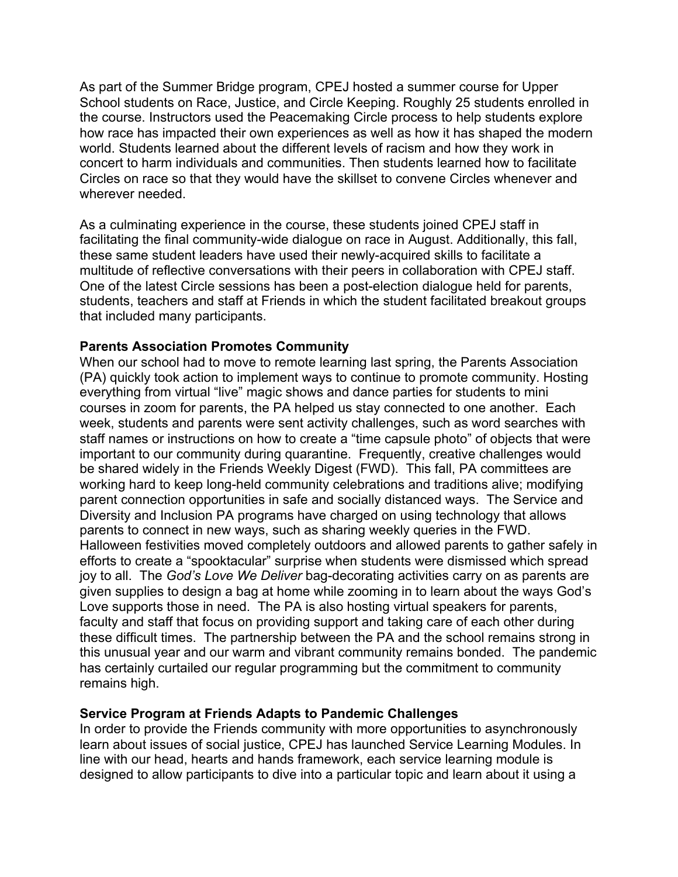As part of the Summer Bridge program, CPEJ hosted a summer course for Upper School students on Race, Justice, and Circle Keeping. Roughly 25 students enrolled in the course. Instructors used the Peacemaking Circle process to help students explore how race has impacted their own experiences as well as how it has shaped the modern world. Students learned about the different levels of racism and how they work in concert to harm individuals and communities. Then students learned how to facilitate Circles on race so that they would have the skillset to convene Circles whenever and wherever needed.

As a culminating experience in the course, these students joined CPEJ staff in facilitating the final community-wide dialogue on race in August. Additionally, this fall, these same student leaders have used their newly-acquired skills to facilitate a multitude of reflective conversations with their peers in collaboration with CPEJ staff. One of the latest Circle sessions has been a post-election dialogue held for parents, students, teachers and staff at Friends in which the student facilitated breakout groups that included many participants.

## **Parents Association Promotes Community**

When our school had to move to remote learning last spring, the Parents Association (PA) quickly took action to implement ways to continue to promote community. Hosting everything from virtual "live" magic shows and dance parties for students to mini courses in zoom for parents, the PA helped us stay connected to one another. Each week, students and parents were sent activity challenges, such as word searches with staff names or instructions on how to create a "time capsule photo" of objects that were important to our community during quarantine. Frequently, creative challenges would be shared widely in the Friends Weekly Digest (FWD). This fall, PA committees are working hard to keep long-held community celebrations and traditions alive; modifying parent connection opportunities in safe and socially distanced ways. The Service and Diversity and Inclusion PA programs have charged on using technology that allows parents to connect in new ways, such as sharing weekly queries in the FWD. Halloween festivities moved completely outdoors and allowed parents to gather safely in efforts to create a "spooktacular" surprise when students were dismissed which spread joy to all. The *God's Love We Deliver* bag-decorating activities carry on as parents are given supplies to design a bag at home while zooming in to learn about the ways God's Love supports those in need. The PA is also hosting virtual speakers for parents, faculty and staff that focus on providing support and taking care of each other during these difficult times. The partnership between the PA and the school remains strong in this unusual year and our warm and vibrant community remains bonded. The pandemic has certainly curtailed our regular programming but the commitment to community remains high.

### **Service Program at Friends Adapts to Pandemic Challenges**

In order to provide the Friends community with more opportunities to asynchronously learn about issues of social justice, CPEJ has launched Service Learning Modules. In line with our head, hearts and hands framework, each service learning module is designed to allow participants to dive into a particular topic and learn about it using a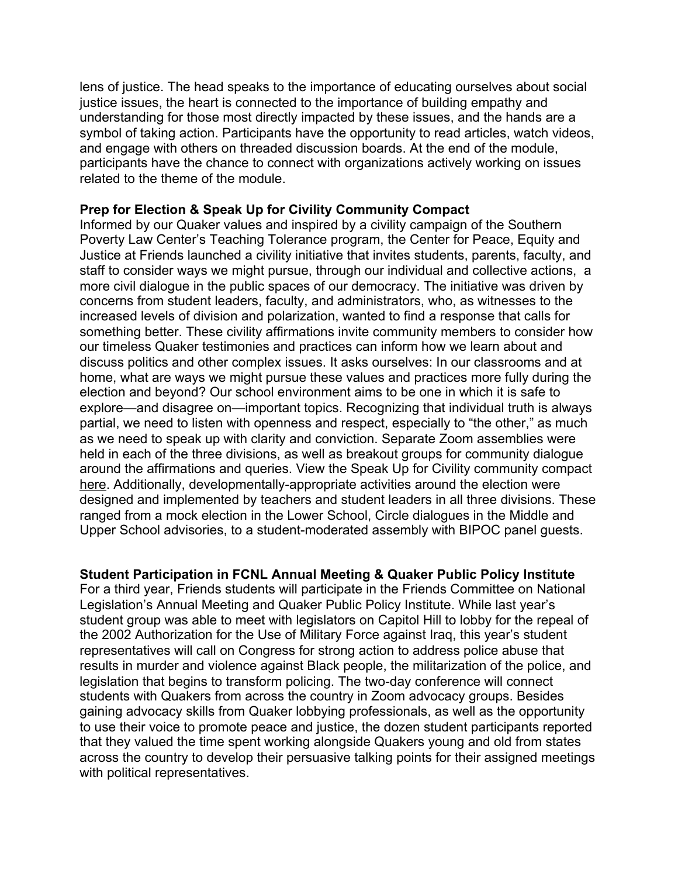lens of justice. The head speaks to the importance of educating ourselves about social justice issues, the heart is connected to the importance of building empathy and understanding for those most directly impacted by these issues, and the hands are a symbol of taking action. Participants have the opportunity to read articles, watch videos, and engage with others on threaded discussion boards. At the end of the module, participants have the chance to connect with organizations actively working on issues related to the theme of the module.

#### **Prep for Election & Speak Up for Civility Community Compact**

Informed by our Quaker values and inspired by a civility campaign of the Southern Poverty Law Center's Teaching Tolerance program, the Center for Peace, Equity and Justice at Friends launched a civility initiative that invites students, parents, faculty, and staff to consider ways we might pursue, through our individual and collective actions, a more civil dialogue in the public spaces of our democracy. The initiative was driven by concerns from student leaders, faculty, and administrators, who, as witnesses to the increased levels of division and polarization, wanted to find a response that calls for something better. These civility affirmations invite community members to consider how our timeless Quaker testimonies and practices can inform how we learn about and discuss politics and other complex issues. It asks ourselves: In our classrooms and at home, what are ways we might pursue these values and practices more fully during the election and beyond? Our school environment aims to be one in which it is safe to explore—and disagree on—important topics. Recognizing that individual truth is always partial, we need to listen with openness and respect, especially to "the other," as much as we need to speak up with clarity and conviction. Separate Zoom assemblies were held in each of the three divisions, as well as breakout groups for community dialogue around the affirmations and queries. View the Speak Up for Civility community compact [here](https://drive.google.com/file/d/1lLWMiGlZ58wnPN3VH201ixd2sGBdX3Y7/view?usp=sharing). Additionally, developmentally-appropriate activities around the election were designed and implemented by teachers and student leaders in all three divisions. These ranged from a mock election in the Lower School, Circle dialogues in the Middle and Upper School advisories, to a student-moderated assembly with BIPOC panel guests.

### **Student Participation in FCNL Annual Meeting & Quaker Public Policy Institute**

For a third year, Friends students will participate in the Friends Committee on National Legislation's Annual Meeting and Quaker Public Policy Institute. While last year's student group was able to meet with legislators on Capitol Hill to lobby for the repeal of the 2002 Authorization for the Use of Military Force against Iraq, this year's student representatives will call on Congress for strong action to address police abuse that results in murder and violence against Black people, the militarization of the police, and legislation that begins to transform policing. The two-day conference will connect students with Quakers from across the country in Zoom advocacy groups. Besides gaining advocacy skills from Quaker lobbying professionals, as well as the opportunity to use their voice to promote peace and justice, the dozen student participants reported that they valued the time spent working alongside Quakers young and old from states across the country to develop their persuasive talking points for their assigned meetings with political representatives.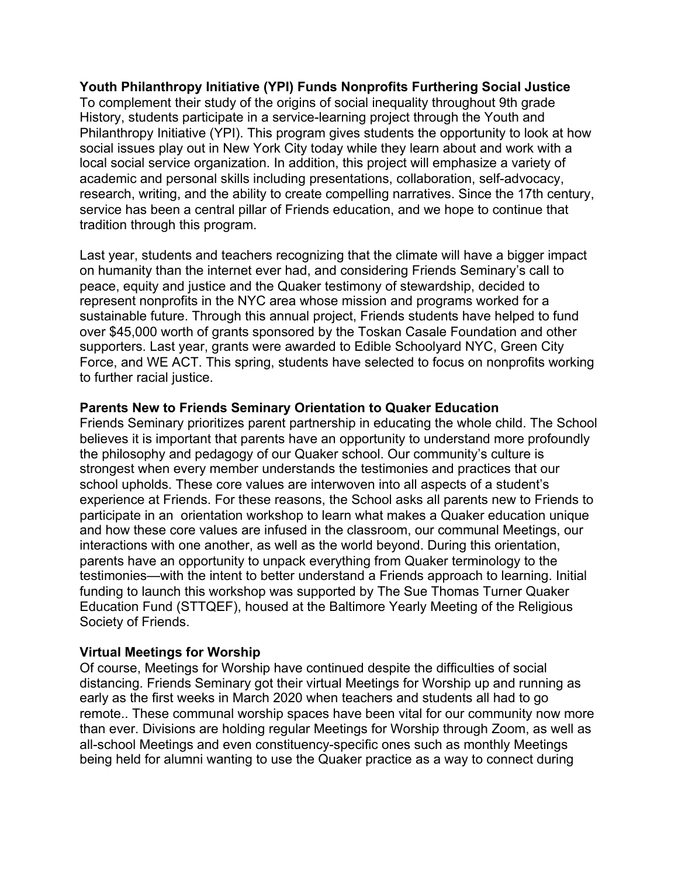### **Youth Philanthropy Initiative (YPI) Funds Nonprofits Furthering Social Justice** To complement their study of the origins of social inequality throughout 9th grade History, students participate in a service-learning project through the Youth and Philanthropy Initiative (YPI). This program gives students the opportunity to look at how social issues play out in New York City today while they learn about and work with a local social service organization. In addition, this project will emphasize a variety of academic and personal skills including presentations, collaboration, self-advocacy, research, writing, and the ability to create compelling narratives. Since the 17th century, service has been a central pillar of Friends education, and we hope to continue that tradition through this program.

Last year, students and teachers recognizing that the climate will have a bigger impact on humanity than the internet ever had, and considering Friends Seminary's call to peace, equity and justice and the Quaker testimony of stewardship, decided to represent nonprofits in the NYC area whose mission and programs worked for a sustainable future. Through this annual project, Friends students have helped to fund over \$45,000 worth of grants sponsored by the Toskan Casale Foundation and other supporters. Last year, grants were awarded to Edible Schoolyard NYC, Green City Force, and WE ACT. This spring, students have selected to focus on nonprofits working to further racial justice.

### **Parents New to Friends Seminary Orientation to Quaker Education**

Friends Seminary prioritizes parent partnership in educating the whole child. The School believes it is important that parents have an opportunity to understand more profoundly the philosophy and pedagogy of our Quaker school. Our community's culture is strongest when every member understands the testimonies and practices that our school upholds. These core values are interwoven into all aspects of a student's experience at Friends. For these reasons, the School asks all parents new to Friends to participate in an orientation workshop to learn what makes a Quaker education unique and how these core values are infused in the classroom, our communal Meetings, our interactions with one another, as well as the world beyond. During this orientation, parents have an opportunity to unpack everything from Quaker terminology to the testimonies—with the intent to better understand a Friends approach to learning. Initial funding to launch this workshop was supported by The Sue Thomas Turner Quaker Education Fund (STTQEF), housed at the Baltimore Yearly Meeting of the Religious Society of Friends.

# **Virtual Meetings for Worship**

Of course, Meetings for Worship have continued despite the difficulties of social distancing. Friends Seminary got their virtual Meetings for Worship up and running as early as the first weeks in March 2020 when teachers and students all had to go remote.. These communal worship spaces have been vital for our community now more than ever. Divisions are holding regular Meetings for Worship through Zoom, as well as all-school Meetings and even constituency-specific ones such as monthly Meetings being held for alumni wanting to use the Quaker practice as a way to connect during